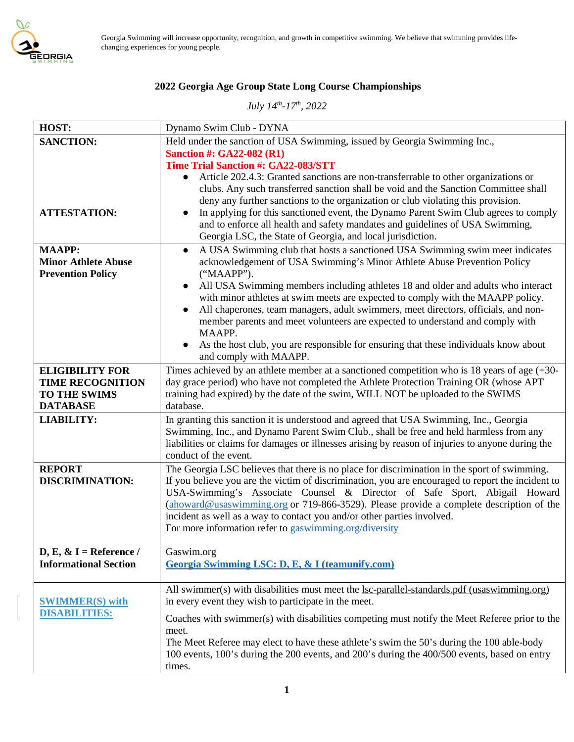

Georgia Swimming will increase opportunity, recognition, and growth in competitive swimming. We believe that swimming provides lifechanging experiences for young people.

# **2022 Georgia Age Group State Long Course Championships**

*July 14th-17th, 2022* 

| HOST:                                             | Dynamo Swim Club - DYNA                                                                                                                                                                                                                                                                                                                                                                                                                                                                                          |
|---------------------------------------------------|------------------------------------------------------------------------------------------------------------------------------------------------------------------------------------------------------------------------------------------------------------------------------------------------------------------------------------------------------------------------------------------------------------------------------------------------------------------------------------------------------------------|
| <b>SANCTION:</b>                                  | Held under the sanction of USA Swimming, issued by Georgia Swimming Inc.,                                                                                                                                                                                                                                                                                                                                                                                                                                        |
|                                                   | <b>Sanction #: GA22-082 (R1)</b>                                                                                                                                                                                                                                                                                                                                                                                                                                                                                 |
|                                                   | Time Trial Sanction #: GA22-083/STT                                                                                                                                                                                                                                                                                                                                                                                                                                                                              |
| <b>ATTESTATION:</b>                               | Article 202.4.3: Granted sanctions are non-transferrable to other organizations or<br>$\bullet$<br>clubs. Any such transferred sanction shall be void and the Sanction Committee shall<br>deny any further sanctions to the organization or club violating this provision.<br>In applying for this sanctioned event, the Dynamo Parent Swim Club agrees to comply<br>and to enforce all health and safety mandates and guidelines of USA Swimming,<br>Georgia LSC, the State of Georgia, and local jurisdiction. |
| <b>MAAPP:</b>                                     | A USA Swimming club that hosts a sanctioned USA Swimming swim meet indicates<br>$\bullet$                                                                                                                                                                                                                                                                                                                                                                                                                        |
| <b>Minor Athlete Abuse</b>                        | acknowledgement of USA Swimming's Minor Athlete Abuse Prevention Policy                                                                                                                                                                                                                                                                                                                                                                                                                                          |
| <b>Prevention Policy</b>                          | ("MAAPP").                                                                                                                                                                                                                                                                                                                                                                                                                                                                                                       |
|                                                   | All USA Swimming members including athletes 18 and older and adults who interact<br>$\bullet$<br>with minor athletes at swim meets are expected to comply with the MAAPP policy.                                                                                                                                                                                                                                                                                                                                 |
|                                                   | All chaperones, team managers, adult swimmers, meet directors, officials, and non-                                                                                                                                                                                                                                                                                                                                                                                                                               |
|                                                   | member parents and meet volunteers are expected to understand and comply with                                                                                                                                                                                                                                                                                                                                                                                                                                    |
|                                                   | MAAPP.                                                                                                                                                                                                                                                                                                                                                                                                                                                                                                           |
|                                                   | As the host club, you are responsible for ensuring that these individuals know about                                                                                                                                                                                                                                                                                                                                                                                                                             |
|                                                   | and comply with MAAPP.                                                                                                                                                                                                                                                                                                                                                                                                                                                                                           |
| <b>ELIGIBILITY FOR</b><br><b>TIME RECOGNITION</b> | Times achieved by an athlete member at a sanctioned competition who is 18 years of age $(+30-$<br>day grace period) who have not completed the Athlete Protection Training OR (whose APT                                                                                                                                                                                                                                                                                                                         |
| <b>TO THE SWIMS</b>                               | training had expired) by the date of the swim, WILL NOT be uploaded to the SWIMS                                                                                                                                                                                                                                                                                                                                                                                                                                 |
| <b>DATABASE</b>                                   | database.                                                                                                                                                                                                                                                                                                                                                                                                                                                                                                        |
| <b>LIABILITY:</b>                                 | In granting this sanction it is understood and agreed that USA Swimming, Inc., Georgia<br>Swimming, Inc., and Dynamo Parent Swim Club., shall be free and held harmless from any<br>liabilities or claims for damages or illnesses arising by reason of injuries to anyone during the<br>conduct of the event.                                                                                                                                                                                                   |
| <b>REPORT</b>                                     | The Georgia LSC believes that there is no place for discrimination in the sport of swimming.                                                                                                                                                                                                                                                                                                                                                                                                                     |
| <b>DISCRIMINATION:</b>                            | If you believe you are the victim of discrimination, you are encouraged to report the incident to<br>USA-Swimming's Associate Counsel & Director of Safe Sport, Abigail Howard<br>$(about a W was a W with a W is a W and W is a W and W is a W and W is a W and W is a W and W is a W and W is a W and W is a W and W is a W and W is a W and W is a W and W is a $<br>incident as well as a way to contact you and/or other parties involved.<br>For more information refer to gaswimming.org/diversity        |
| D, E, $\&$ I = Reference /                        | Gaswim.org                                                                                                                                                                                                                                                                                                                                                                                                                                                                                                       |
| <b>Informational Section</b>                      | Georgia Swimming LSC: D, E, & I (teamunify.com)                                                                                                                                                                                                                                                                                                                                                                                                                                                                  |
|                                                   |                                                                                                                                                                                                                                                                                                                                                                                                                                                                                                                  |
| <b>SWIMMER(S)</b> with                            | All swimmer(s) with disabilities must meet the lsc-parallel-standards.pdf (usaswimming.org)<br>in every event they wish to participate in the meet.                                                                                                                                                                                                                                                                                                                                                              |
| <b>DISABILITIES:</b>                              | Coaches with swimmer(s) with disabilities competing must notify the Meet Referee prior to the                                                                                                                                                                                                                                                                                                                                                                                                                    |
|                                                   | meet.<br>The Meet Referee may elect to have these athlete's swim the 50's during the 100 able-body<br>100 events, 100's during the 200 events, and 200's during the 400/500 events, based on entry<br>times.                                                                                                                                                                                                                                                                                                     |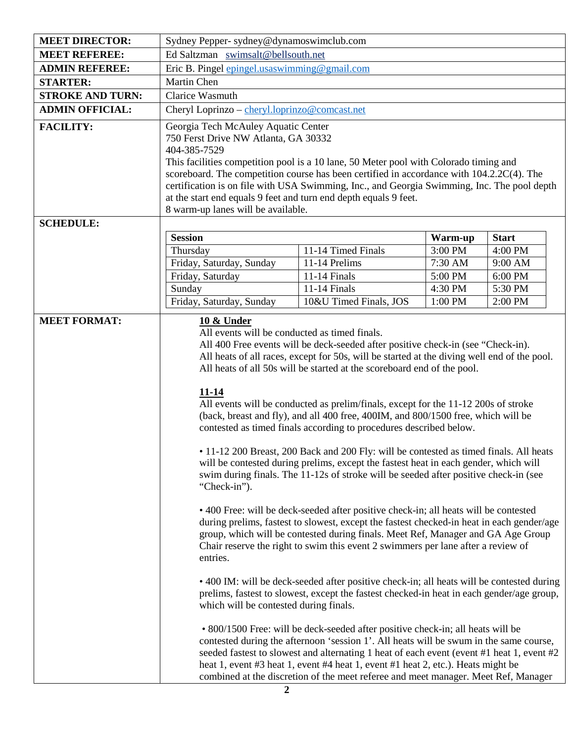| <b>MEET DIRECTOR:</b>                | Sydney Pepper- sydney@dynamoswimclub.com                                                                                                                                                                                                                                                                                                                                                                                                                                                               |                                                                                                                                                                                                                                                                                                                                                                                                                                                   |                    |                    |  |  |
|--------------------------------------|--------------------------------------------------------------------------------------------------------------------------------------------------------------------------------------------------------------------------------------------------------------------------------------------------------------------------------------------------------------------------------------------------------------------------------------------------------------------------------------------------------|---------------------------------------------------------------------------------------------------------------------------------------------------------------------------------------------------------------------------------------------------------------------------------------------------------------------------------------------------------------------------------------------------------------------------------------------------|--------------------|--------------------|--|--|
| <b>MEET REFEREE:</b>                 |                                                                                                                                                                                                                                                                                                                                                                                                                                                                                                        | Ed Saltzman swimsalt@bellsouth.net                                                                                                                                                                                                                                                                                                                                                                                                                |                    |                    |  |  |
| <b>ADMIN REFEREE:</b>                | Eric B. Pingel epingel.usaswimming@gmail.com                                                                                                                                                                                                                                                                                                                                                                                                                                                           |                                                                                                                                                                                                                                                                                                                                                                                                                                                   |                    |                    |  |  |
| <b>STARTER:</b>                      | Martin Chen                                                                                                                                                                                                                                                                                                                                                                                                                                                                                            |                                                                                                                                                                                                                                                                                                                                                                                                                                                   |                    |                    |  |  |
| <b>STROKE AND TURN:</b>              | Clarice Wasmuth                                                                                                                                                                                                                                                                                                                                                                                                                                                                                        |                                                                                                                                                                                                                                                                                                                                                                                                                                                   |                    |                    |  |  |
| <b>ADMIN OFFICIAL:</b>               | Cheryl Loprinzo - cheryl.loprinzo@comcast.net                                                                                                                                                                                                                                                                                                                                                                                                                                                          |                                                                                                                                                                                                                                                                                                                                                                                                                                                   |                    |                    |  |  |
| <b>FACILITY:</b><br><b>SCHEDULE:</b> | Georgia Tech McAuley Aquatic Center<br>750 Ferst Drive NW Atlanta, GA 30332<br>404-385-7529<br>This facilities competition pool is a 10 lane, 50 Meter pool with Colorado timing and<br>scoreboard. The competition course has been certified in accordance with 104.2.2C(4). The<br>certification is on file with USA Swimming, Inc., and Georgia Swimming, Inc. The pool depth<br>at the start end equals 9 feet and turn end depth equals 9 feet.<br>8 warm-up lanes will be available.             |                                                                                                                                                                                                                                                                                                                                                                                                                                                   |                    |                    |  |  |
|                                      | <b>Session</b>                                                                                                                                                                                                                                                                                                                                                                                                                                                                                         |                                                                                                                                                                                                                                                                                                                                                                                                                                                   |                    | <b>Start</b>       |  |  |
|                                      |                                                                                                                                                                                                                                                                                                                                                                                                                                                                                                        |                                                                                                                                                                                                                                                                                                                                                                                                                                                   | Warm-up            |                    |  |  |
|                                      | Thursday<br>Friday, Saturday, Sunday                                                                                                                                                                                                                                                                                                                                                                                                                                                                   | 11-14 Timed Finals<br>11-14 Prelims                                                                                                                                                                                                                                                                                                                                                                                                               | 3:00 PM<br>7:30 AM | 4:00 PM<br>9:00 AM |  |  |
|                                      | Friday, Saturday                                                                                                                                                                                                                                                                                                                                                                                                                                                                                       | 11-14 Finals                                                                                                                                                                                                                                                                                                                                                                                                                                      | 5:00 PM            | 6:00 PM            |  |  |
|                                      | Sunday                                                                                                                                                                                                                                                                                                                                                                                                                                                                                                 | 11-14 Finals                                                                                                                                                                                                                                                                                                                                                                                                                                      | 4:30 PM            | 5:30 PM            |  |  |
|                                      | Friday, Saturday, Sunday                                                                                                                                                                                                                                                                                                                                                                                                                                                                               | 10&U Timed Finals, JOS                                                                                                                                                                                                                                                                                                                                                                                                                            | 1:00 PM            | 2:00 PM            |  |  |
| <b>MEET FORMAT:</b>                  | <b>10 &amp; Under</b>                                                                                                                                                                                                                                                                                                                                                                                                                                                                                  |                                                                                                                                                                                                                                                                                                                                                                                                                                                   |                    |                    |  |  |
|                                      | All events will be conducted as timed finals.<br>All 400 Free events will be deck-seeded after positive check-in (see "Check-in).<br>All heats of all races, except for 50s, will be started at the diving well end of the pool.<br>All heats of all 50s will be started at the scoreboard end of the pool.<br><u>11-14</u><br>All events will be conducted as prelim/finals, except for the 11-12 200s of stroke<br>(back, breast and fly), and all 400 free, 400IM, and 800/1500 free, which will be |                                                                                                                                                                                                                                                                                                                                                                                                                                                   |                    |                    |  |  |
|                                      | contested as timed finals according to procedures described below.<br>• 11-12 200 Breast, 200 Back and 200 Fly: will be contested as timed finals. All heats<br>will be contested during prelims, except the fastest heat in each gender, which will<br>swim during finals. The 11-12s of stroke will be seeded after positive check-in (see<br>"Check-in").<br>• 400 Free: will be deck-seeded after positive check-in; all heats will be contested                                                   |                                                                                                                                                                                                                                                                                                                                                                                                                                                   |                    |                    |  |  |
|                                      | during prelims, fastest to slowest, except the fastest checked-in heat in each gender/age<br>group, which will be contested during finals. Meet Ref, Manager and GA Age Group<br>Chair reserve the right to swim this event 2 swimmers per lane after a review of<br>entries.                                                                                                                                                                                                                          |                                                                                                                                                                                                                                                                                                                                                                                                                                                   |                    |                    |  |  |
|                                      | • 400 IM: will be deck-seeded after positive check-in; all heats will be contested during<br>prelims, fastest to slowest, except the fastest checked-in heat in each gender/age group,<br>which will be contested during finals.                                                                                                                                                                                                                                                                       |                                                                                                                                                                                                                                                                                                                                                                                                                                                   |                    |                    |  |  |
|                                      |                                                                                                                                                                                                                                                                                                                                                                                                                                                                                                        | • 800/1500 Free: will be deck-seeded after positive check-in; all heats will be<br>contested during the afternoon 'session 1'. All heats will be swum in the same course,<br>seeded fastest to slowest and alternating 1 heat of each event (event #1 heat 1, event #2)<br>heat 1, event #3 heat 1, event #4 heat 1, event #1 heat 2, etc.). Heats might be<br>combined at the discretion of the meet referee and meet manager. Meet Ref, Manager |                    |                    |  |  |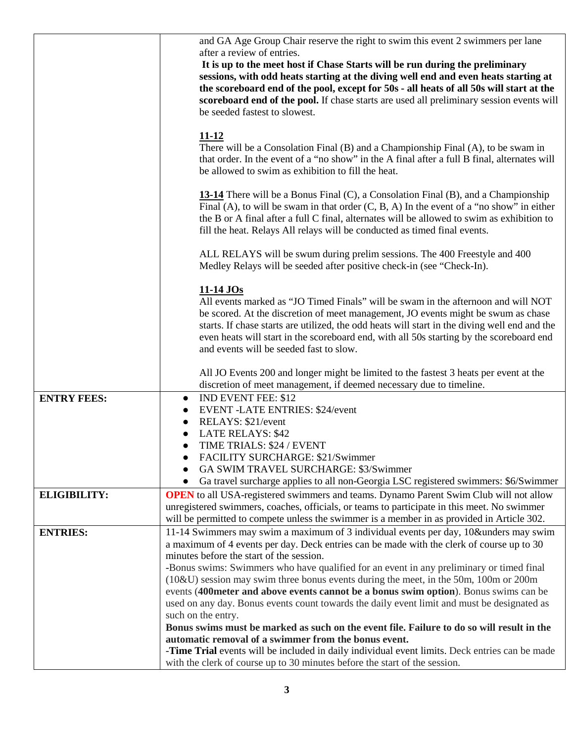|                     | and GA Age Group Chair reserve the right to swim this event 2 swimmers per lane                                                                                                                                                                                                                                                                                                                                                    |
|---------------------|------------------------------------------------------------------------------------------------------------------------------------------------------------------------------------------------------------------------------------------------------------------------------------------------------------------------------------------------------------------------------------------------------------------------------------|
|                     | after a review of entries.                                                                                                                                                                                                                                                                                                                                                                                                         |
|                     | It is up to the meet host if Chase Starts will be run during the preliminary<br>sessions, with odd heats starting at the diving well end and even heats starting at<br>the scoreboard end of the pool, except for 50s - all heats of all 50s will start at the<br>scoreboard end of the pool. If chase starts are used all preliminary session events will<br>be seeded fastest to slowest.                                        |
|                     |                                                                                                                                                                                                                                                                                                                                                                                                                                    |
|                     | $11 - 12$<br>There will be a Consolation Final (B) and a Championship Final (A), to be swam in<br>that order. In the event of a "no show" in the A final after a full B final, alternates will<br>be allowed to swim as exhibition to fill the heat.                                                                                                                                                                               |
|                     | <b>13-14</b> There will be a Bonus Final (C), a Consolation Final (B), and a Championship<br>Final (A), to will be swam in that order $(C, B, A)$ In the event of a "no show" in either<br>the B or A final after a full C final, alternates will be allowed to swim as exhibition to<br>fill the heat. Relays All relays will be conducted as timed final events.                                                                 |
|                     | ALL RELAYS will be swum during prelim sessions. The 400 Freestyle and 400<br>Medley Relays will be seeded after positive check-in (see "Check-In).                                                                                                                                                                                                                                                                                 |
|                     | <u>11-14 JOs</u><br>All events marked as "JO Timed Finals" will be swam in the afternoon and will NOT<br>be scored. At the discretion of meet management, JO events might be swum as chase<br>starts. If chase starts are utilized, the odd heats will start in the diving well end and the<br>even heats will start in the scoreboard end, with all 50s starting by the scoreboard end<br>and events will be seeded fast to slow. |
|                     | All JO Events 200 and longer might be limited to the fastest 3 heats per event at the<br>discretion of meet management, if deemed necessary due to timeline.                                                                                                                                                                                                                                                                       |
| <b>ENTRY FEES:</b>  | <b>IND EVENT FEE: \$12</b><br>$\bullet$                                                                                                                                                                                                                                                                                                                                                                                            |
|                     | <b>EVENT-LATE ENTRIES: \$24/event</b><br>$\bullet$                                                                                                                                                                                                                                                                                                                                                                                 |
|                     | RELAYS: \$21/event<br>$\bullet$                                                                                                                                                                                                                                                                                                                                                                                                    |
|                     | <b>LATE RELAYS: \$42</b>                                                                                                                                                                                                                                                                                                                                                                                                           |
|                     | TIME TRIALS: \$24 / EVENT<br>$\bullet$                                                                                                                                                                                                                                                                                                                                                                                             |
|                     | FACILITY SURCHARGE: \$21/Swimmer                                                                                                                                                                                                                                                                                                                                                                                                   |
|                     | GA SWIM TRAVEL SURCHARGE: \$3/Swimmer                                                                                                                                                                                                                                                                                                                                                                                              |
|                     | Ga travel surcharge applies to all non-Georgia LSC registered swimmers: \$6/Swimmer                                                                                                                                                                                                                                                                                                                                                |
| <b>ELIGIBILITY:</b> | <b>OPEN</b> to all USA-registered swimmers and teams. Dynamo Parent Swim Club will not allow                                                                                                                                                                                                                                                                                                                                       |
|                     | unregistered swimmers, coaches, officials, or teams to participate in this meet. No swimmer                                                                                                                                                                                                                                                                                                                                        |
|                     | will be permitted to compete unless the swimmer is a member in as provided in Article 302.                                                                                                                                                                                                                                                                                                                                         |
| <b>ENTRIES:</b>     | 11-14 Swimmers may swim a maximum of 3 individual events per day, 10&unders may swim                                                                                                                                                                                                                                                                                                                                               |
|                     | a maximum of 4 events per day. Deck entries can be made with the clerk of course up to 30                                                                                                                                                                                                                                                                                                                                          |
|                     | minutes before the start of the session.                                                                                                                                                                                                                                                                                                                                                                                           |
|                     | -Bonus swims: Swimmers who have qualified for an event in any preliminary or timed final                                                                                                                                                                                                                                                                                                                                           |
|                     | $(10\&U)$ session may swim three bonus events during the meet, in the 50m, 100m or 200m<br>events (400 meter and above events cannot be a bonus swim option). Bonus swims can be                                                                                                                                                                                                                                                   |
|                     | used on any day. Bonus events count towards the daily event limit and must be designated as                                                                                                                                                                                                                                                                                                                                        |
|                     | such on the entry.                                                                                                                                                                                                                                                                                                                                                                                                                 |
|                     | Bonus swims must be marked as such on the event file. Failure to do so will result in the                                                                                                                                                                                                                                                                                                                                          |
|                     | automatic removal of a swimmer from the bonus event.                                                                                                                                                                                                                                                                                                                                                                               |
|                     | -Time Trial events will be included in daily individual event limits. Deck entries can be made                                                                                                                                                                                                                                                                                                                                     |
|                     | with the clerk of course up to 30 minutes before the start of the session.                                                                                                                                                                                                                                                                                                                                                         |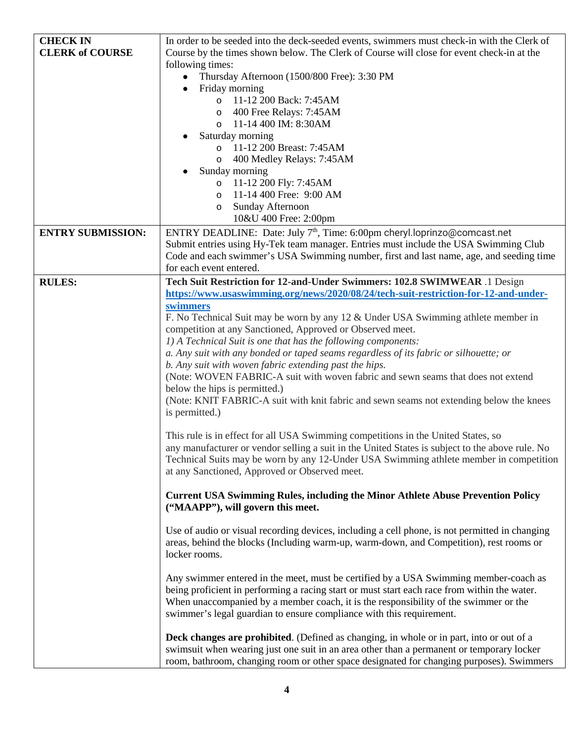| <b>CHECK IN</b><br><b>CLERK of COURSE</b> | In order to be seeded into the deck-seeded events, swimmers must check-in with the Clerk of<br>Course by the times shown below. The Clerk of Course will close for event check-in at the<br>following times:<br>Thursday Afternoon (1500/800 Free): 3:30 PM<br>$\bullet$<br>Friday morning<br>$\bullet$<br>11-12 200 Back: 7:45AM<br>$\circ$<br>o 400 Free Relays: 7:45AM<br>11-14 400 IM: 8:30AM<br>$\circ$<br>Saturday morning<br>11-12 200 Breast: 7:45AM<br>$\circ$<br>400 Medley Relays: 7:45AM<br>$\circ$<br>Sunday morning<br>11-12 200 Fly: 7:45AM<br>$\circ$                                                                                                                                                                                                                                                                                                                                                                                                                                                                                                                                                                                                                                                                                                                                                                                                                                                                                                                                                                                                                                                                                                                                                                                                                                                                                                                                                                                                                                                                                                                                                    |
|-------------------------------------------|--------------------------------------------------------------------------------------------------------------------------------------------------------------------------------------------------------------------------------------------------------------------------------------------------------------------------------------------------------------------------------------------------------------------------------------------------------------------------------------------------------------------------------------------------------------------------------------------------------------------------------------------------------------------------------------------------------------------------------------------------------------------------------------------------------------------------------------------------------------------------------------------------------------------------------------------------------------------------------------------------------------------------------------------------------------------------------------------------------------------------------------------------------------------------------------------------------------------------------------------------------------------------------------------------------------------------------------------------------------------------------------------------------------------------------------------------------------------------------------------------------------------------------------------------------------------------------------------------------------------------------------------------------------------------------------------------------------------------------------------------------------------------------------------------------------------------------------------------------------------------------------------------------------------------------------------------------------------------------------------------------------------------------------------------------------------------------------------------------------------------|
|                                           | 11-14 400 Free: 9:00 AM<br>$\circ$<br>Sunday Afternoon<br>$\circ$<br>10&U 400 Free: 2:00pm                                                                                                                                                                                                                                                                                                                                                                                                                                                                                                                                                                                                                                                                                                                                                                                                                                                                                                                                                                                                                                                                                                                                                                                                                                                                                                                                                                                                                                                                                                                                                                                                                                                                                                                                                                                                                                                                                                                                                                                                                               |
| <b>ENTRY SUBMISSION:</b>                  | ENTRY DEADLINE: Date: July 7 <sup>th</sup> , Time: 6:00pm cheryl.loprinzo@comcast.net<br>Submit entries using Hy-Tek team manager. Entries must include the USA Swimming Club<br>Code and each swimmer's USA Swimming number, first and last name, age, and seeding time<br>for each event entered.                                                                                                                                                                                                                                                                                                                                                                                                                                                                                                                                                                                                                                                                                                                                                                                                                                                                                                                                                                                                                                                                                                                                                                                                                                                                                                                                                                                                                                                                                                                                                                                                                                                                                                                                                                                                                      |
| <b>RULES:</b>                             | Tech Suit Restriction for 12-and-Under Swimmers: 102.8 SWIMWEAR .1 Design<br>https://www.usaswimming.org/news/2020/08/24/tech-suit-restriction-for-12-and-under-<br>swimmers<br>F. No Technical Suit may be worn by any 12 & Under USA Swimming athlete member in<br>competition at any Sanctioned, Approved or Observed meet.<br>1) A Technical Suit is one that has the following components:<br>a. Any suit with any bonded or taped seams regardless of its fabric or silhouette; or<br>b. Any suit with woven fabric extending past the hips.<br>(Note: WOVEN FABRIC-A suit with woven fabric and sewn seams that does not extend<br>below the hips is permitted.)<br>(Note: KNIT FABRIC-A suit with knit fabric and sewn seams not extending below the knees<br>is permitted.)<br>This rule is in effect for all USA Swimming competitions in the United States, so<br>any manufacturer or vendor selling a suit in the United States is subject to the above rule. No<br>Technical Suits may be worn by any 12-Under USA Swimming athlete member in competition<br>at any Sanctioned, Approved or Observed meet.<br><b>Current USA Swimming Rules, including the Minor Athlete Abuse Prevention Policy</b><br>("MAAPP"), will govern this meet.<br>Use of audio or visual recording devices, including a cell phone, is not permitted in changing<br>areas, behind the blocks (Including warm-up, warm-down, and Competition), rest rooms or<br>locker rooms.<br>Any swimmer entered in the meet, must be certified by a USA Swimming member-coach as<br>being proficient in performing a racing start or must start each race from within the water.<br>When unaccompanied by a member coach, it is the responsibility of the swimmer or the<br>swimmer's legal guardian to ensure compliance with this requirement.<br><b>Deck changes are prohibited.</b> (Defined as changing, in whole or in part, into or out of a<br>swimsuit when wearing just one suit in an area other than a permanent or temporary locker<br>room, bathroom, changing room or other space designated for changing purposes). Swimmers |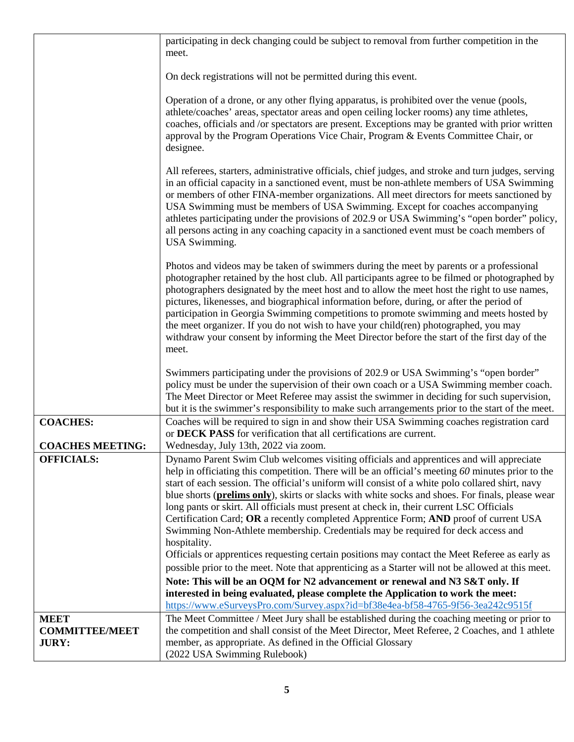|                                                      | participating in deck changing could be subject to removal from further competition in the<br>meet.                                                                                                                                                                                                                                                                                                                                                                                                                                                                                                                                                                                                   |
|------------------------------------------------------|-------------------------------------------------------------------------------------------------------------------------------------------------------------------------------------------------------------------------------------------------------------------------------------------------------------------------------------------------------------------------------------------------------------------------------------------------------------------------------------------------------------------------------------------------------------------------------------------------------------------------------------------------------------------------------------------------------|
|                                                      | On deck registrations will not be permitted during this event.                                                                                                                                                                                                                                                                                                                                                                                                                                                                                                                                                                                                                                        |
|                                                      | Operation of a drone, or any other flying apparatus, is prohibited over the venue (pools,<br>athlete/coaches' areas, spectator areas and open ceiling locker rooms) any time athletes,<br>coaches, officials and /or spectators are present. Exceptions may be granted with prior written<br>approval by the Program Operations Vice Chair, Program & Events Committee Chair, or<br>designee.                                                                                                                                                                                                                                                                                                         |
|                                                      | All referees, starters, administrative officials, chief judges, and stroke and turn judges, serving<br>in an official capacity in a sanctioned event, must be non-athlete members of USA Swimming<br>or members of other FINA-member organizations. All meet directors for meets sanctioned by<br>USA Swimming must be members of USA Swimming. Except for coaches accompanying<br>athletes participating under the provisions of 202.9 or USA Swimming's "open border" policy,<br>all persons acting in any coaching capacity in a sanctioned event must be coach members of<br><b>USA</b> Swimming.                                                                                                 |
|                                                      | Photos and videos may be taken of swimmers during the meet by parents or a professional<br>photographer retained by the host club. All participants agree to be filmed or photographed by<br>photographers designated by the meet host and to allow the meet host the right to use names,<br>pictures, likenesses, and biographical information before, during, or after the period of<br>participation in Georgia Swimming competitions to promote swimming and meets hosted by<br>the meet organizer. If you do not wish to have your child(ren) photographed, you may<br>withdraw your consent by informing the Meet Director before the start of the first day of the<br>meet.                    |
|                                                      | Swimmers participating under the provisions of 202.9 or USA Swimming's "open border"<br>policy must be under the supervision of their own coach or a USA Swimming member coach.<br>The Meet Director or Meet Referee may assist the swimmer in deciding for such supervision,<br>but it is the swimmer's responsibility to make such arrangements prior to the start of the meet.                                                                                                                                                                                                                                                                                                                     |
| <b>COACHES:</b><br><b>COACHES MEETING:</b>           | Coaches will be required to sign in and show their USA Swimming coaches registration card<br>or DECK PASS for verification that all certifications are current.<br>Wednesday, July 13th, 2022 via zoom.                                                                                                                                                                                                                                                                                                                                                                                                                                                                                               |
| <b>OFFICIALS:</b>                                    | Dynamo Parent Swim Club welcomes visiting officials and apprentices and will appreciate<br>help in officiating this competition. There will be an official's meeting 60 minutes prior to the<br>start of each session. The official's uniform will consist of a white polo collared shirt, navy<br>blue shorts ( <b>prelims only</b> ), skirts or slacks with white socks and shoes. For finals, please wear<br>long pants or skirt. All officials must present at check in, their current LSC Officials<br>Certification Card; OR a recently completed Apprentice Form; AND proof of current USA<br>Swimming Non-Athlete membership. Credentials may be required for deck access and<br>hospitality. |
|                                                      | Officials or apprentices requesting certain positions may contact the Meet Referee as early as<br>possible prior to the meet. Note that apprenticing as a Starter will not be allowed at this meet.                                                                                                                                                                                                                                                                                                                                                                                                                                                                                                   |
|                                                      | Note: This will be an OQM for N2 advancement or renewal and N3 S&T only. If<br>interested in being evaluated, please complete the Application to work the meet:<br>https://www.eSurveysPro.com/Survey.aspx?id=bf38e4ea-bf58-4765-9f56-3ea242c9515f                                                                                                                                                                                                                                                                                                                                                                                                                                                    |
| <b>MEET</b><br><b>COMMITTEE/MEET</b><br><b>JURY:</b> | The Meet Committee / Meet Jury shall be established during the coaching meeting or prior to<br>the competition and shall consist of the Meet Director, Meet Referee, 2 Coaches, and 1 athlete<br>member, as appropriate. As defined in the Official Glossary<br>(2022 USA Swimming Rulebook)                                                                                                                                                                                                                                                                                                                                                                                                          |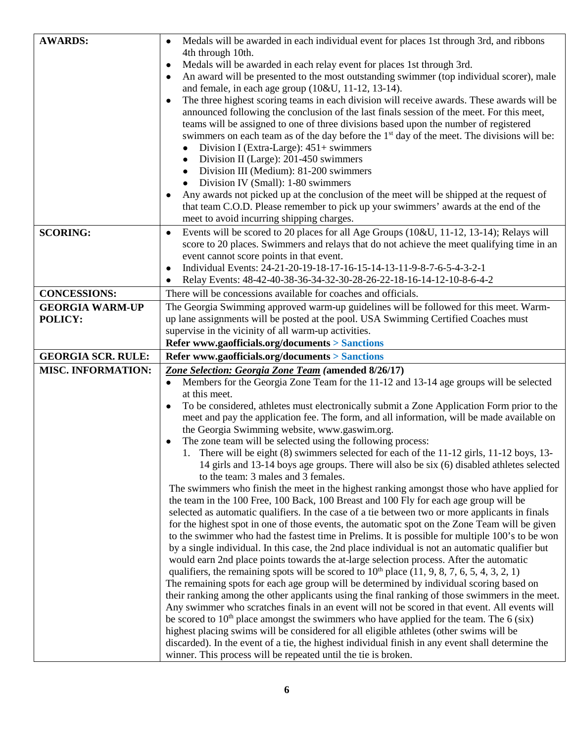| <b>AWARDS:</b>                    | Medals will be awarded in each individual event for places 1st through 3rd, and ribbons<br>$\bullet$<br>4th through 10th.<br>Medals will be awarded in each relay event for places 1st through 3rd.<br>$\bullet$<br>An award will be presented to the most outstanding swimmer (top individual scorer), male<br>and female, in each age group (10&U, 11-12, 13-14).<br>The three highest scoring teams in each division will receive awards. These awards will be                                                                                                                                                                                                                                                                                                                                                                                                                                                                                                                                                                                                                                                                                                                                                      |
|-----------------------------------|------------------------------------------------------------------------------------------------------------------------------------------------------------------------------------------------------------------------------------------------------------------------------------------------------------------------------------------------------------------------------------------------------------------------------------------------------------------------------------------------------------------------------------------------------------------------------------------------------------------------------------------------------------------------------------------------------------------------------------------------------------------------------------------------------------------------------------------------------------------------------------------------------------------------------------------------------------------------------------------------------------------------------------------------------------------------------------------------------------------------------------------------------------------------------------------------------------------------|
|                                   | announced following the conclusion of the last finals session of the meet. For this meet,<br>teams will be assigned to one of three divisions based upon the number of registered<br>swimmers on each team as of the day before the 1 <sup>st</sup> day of the meet. The divisions will be:<br>Division I (Extra-Large): 451+ swimmers<br>$\bullet$<br>Division II (Large): 201-450 swimmers<br>Division III (Medium): 81-200 swimmers<br>$\bullet$<br>Division IV (Small): 1-80 swimmers<br>Any awards not picked up at the conclusion of the meet will be shipped at the request of                                                                                                                                                                                                                                                                                                                                                                                                                                                                                                                                                                                                                                  |
|                                   | that team C.O.D. Please remember to pick up your swimmers' awards at the end of the<br>meet to avoid incurring shipping charges.                                                                                                                                                                                                                                                                                                                                                                                                                                                                                                                                                                                                                                                                                                                                                                                                                                                                                                                                                                                                                                                                                       |
| <b>SCORING:</b>                   | Events will be scored to 20 places for all Age Groups (10&U, 11-12, 13-14); Relays will<br>$\bullet$<br>score to 20 places. Swimmers and relays that do not achieve the meet qualifying time in an<br>event cannot score points in that event.<br>Individual Events: 24-21-20-19-18-17-16-15-14-13-11-9-8-7-6-5-4-3-2-1<br>Relay Events: 48-42-40-38-36-34-32-30-28-26-22-18-16-14-12-10-8-6-4-2                                                                                                                                                                                                                                                                                                                                                                                                                                                                                                                                                                                                                                                                                                                                                                                                                       |
| <b>CONCESSIONS:</b>               | There will be concessions available for coaches and officials.                                                                                                                                                                                                                                                                                                                                                                                                                                                                                                                                                                                                                                                                                                                                                                                                                                                                                                                                                                                                                                                                                                                                                         |
| <b>GEORGIA WARM-UP</b><br>POLICY: | The Georgia Swimming approved warm-up guidelines will be followed for this meet. Warm-<br>up lane assignments will be posted at the pool. USA Swimming Certified Coaches must<br>supervise in the vicinity of all warm-up activities.<br>Refer www.gaofficials.org/documents > Sanctions                                                                                                                                                                                                                                                                                                                                                                                                                                                                                                                                                                                                                                                                                                                                                                                                                                                                                                                               |
| <b>GEORGIA SCR. RULE:</b>         | Refer www.gaofficials.org/documents > Sanctions                                                                                                                                                                                                                                                                                                                                                                                                                                                                                                                                                                                                                                                                                                                                                                                                                                                                                                                                                                                                                                                                                                                                                                        |
| <b>MISC. INFORMATION:</b>         | Zone Selection: Georgia Zone Team (amended 8/26/17)<br>Members for the Georgia Zone Team for the 11-12 and 13-14 age groups will be selected<br>$\bullet$<br>at this meet.<br>To be considered, athletes must electronically submit a Zone Application Form prior to the<br>meet and pay the application fee. The form, and all information, will be made available on<br>the Georgia Swimming website, www.gaswim.org.<br>The zone team will be selected using the following process:<br>1. There will be eight (8) swimmers selected for each of the 11-12 girls, 11-12 boys, 13-<br>14 girls and 13-14 boys age groups. There will also be six (6) disabled athletes selected<br>to the team: 3 males and 3 females.<br>The swimmers who finish the meet in the highest ranking amongst those who have applied for<br>the team in the 100 Free, 100 Back, 100 Breast and 100 Fly for each age group will be<br>selected as automatic qualifiers. In the case of a tie between two or more applicants in finals<br>for the highest spot in one of those events, the automatic spot on the Zone Team will be given<br>to the swimmer who had the fastest time in Prelims. It is possible for multiple 100's to be won |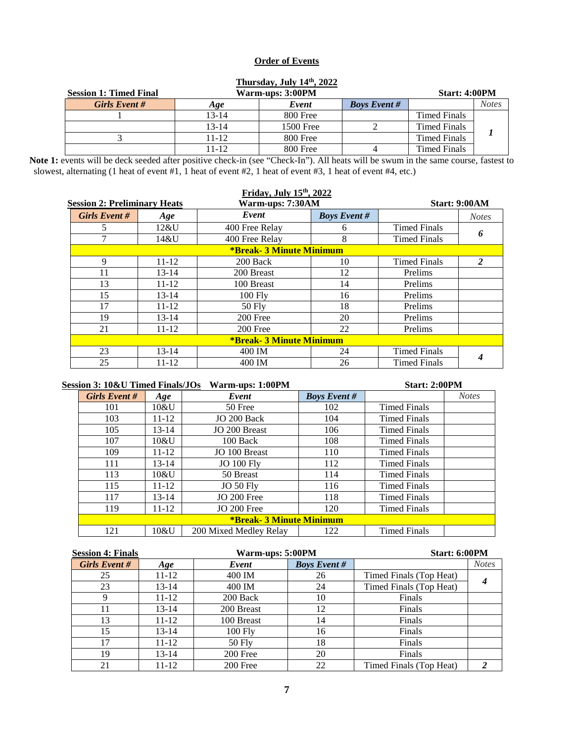### **Order of Events**

| <b>Session 1: Timed Final</b> |           | Thursday, July 14th, 2022<br>Warm-ups: 3:00PM |                     | Start: 4:00PM       |              |
|-------------------------------|-----------|-----------------------------------------------|---------------------|---------------------|--------------|
| Girls Event#                  | Age       | Event                                         | <b>Boys Event #</b> |                     | <b>Notes</b> |
|                               | $13 - 14$ | 800 Free                                      |                     | Timed Finals        |              |
|                               | $13 - 14$ | 1500 Free                                     |                     | <b>Timed Finals</b> |              |
|                               | $11 - 12$ | 800 Free                                      |                     | <b>Timed Finals</b> |              |
|                               | 11-12     | 800 Free                                      |                     | <b>Timed Finals</b> |              |

**Note 1:** events will be deck seeded after positive check-in (see "Check-In"). All heats will be swum in the same course, fastest to

slowest, alternating (1 heat of event #1, 1 heat of event #2, 1 heat of event #3, 1 heat of event #4, etc.)

|                                     |           | Friday, July 15th, 2022         |                     |                     |                      |
|-------------------------------------|-----------|---------------------------------|---------------------|---------------------|----------------------|
| <b>Session 2: Preliminary Heats</b> |           | Warm-ups: 7:30AM                |                     |                     | <b>Start: 9:00AM</b> |
| Girls Event #                       | Age       | Event                           | <b>Boys Event #</b> |                     | <b>Notes</b>         |
| 5.                                  | 12&U      | 400 Free Relay                  | 6                   | <b>Timed Finals</b> |                      |
|                                     | 14&U      | 400 Free Relay                  | 8                   | <b>Timed Finals</b> | 6                    |
|                                     |           | <b>*Break- 3 Minute Minimum</b> |                     |                     |                      |
| 9                                   | $11 - 12$ | 200 Back                        | 10                  | <b>Timed Finals</b> | 2                    |
| 11                                  | $13 - 14$ | 200 Breast                      | 12                  | Prelims             |                      |
| 13                                  | $11 - 12$ | 100 Breast                      | 14                  | Prelims             |                      |
| 15                                  | $13 - 14$ | $100$ Fly                       | 16                  | Prelims             |                      |
| 17                                  | $11 - 12$ | $50$ Fly                        | 18                  | Prelims             |                      |
| 19                                  | $13 - 14$ | 200 Free                        | 20                  | Prelims             |                      |
| 21                                  | $11 - 12$ | 200 Free                        | 22                  | Prelims             |                      |
|                                     |           | <b>*Break- 3 Minute Minimum</b> |                     |                     |                      |
| 23                                  | $13 - 14$ | 400 IM                          | 24                  | <b>Timed Finals</b> |                      |
| 25                                  | $11 - 12$ | 400 IM                          | 26                  | <b>Timed Finals</b> | 4                    |

| <b>Session 3: 10&amp;U Timed Finals/JOs</b> |           | Warm-ups: 1:00PM       |                     | Start: 2:00PM                   |              |
|---------------------------------------------|-----------|------------------------|---------------------|---------------------------------|--------------|
| Girls Event #                               | Age       | Event                  | <b>Boys Event #</b> |                                 | <b>Notes</b> |
| 101                                         | $10\&$ U  | 50 Free                | 102                 | <b>Timed Finals</b>             |              |
| 103                                         | $11 - 12$ | JO 200 Back            | 104                 | <b>Timed Finals</b>             |              |
| 105                                         | $13 - 14$ | JO 200 Breast          | 106                 | <b>Timed Finals</b>             |              |
| 107                                         | 10&U      | 100 Back               | 108                 | Timed Finals                    |              |
| 109                                         | $11 - 12$ | JO 100 Breast          | 110                 | <b>Timed Finals</b>             |              |
| 111                                         | $13 - 14$ | <b>JO 100 Fly</b>      | 112                 | <b>Timed Finals</b>             |              |
| 113                                         | $10\&$ U  | 50 Breast              | 114                 | Timed Finals                    |              |
| 115                                         | $11 - 12$ | $JO 50$ Fly            | 116                 | Timed Finals                    |              |
| 117                                         | $13 - 14$ | JO 200 Free            | 118                 | Timed Finals                    |              |
| 119                                         | $11 - 12$ | $JO$ 200 Free          | 120                 | <b>Timed Finals</b>             |              |
|                                             |           |                        |                     |                                 |              |
| 121                                         | 10&U      | 200 Mixed Medley Relay | 122                 | <b>Timed Finals</b>             |              |
|                                             |           |                        |                     | <b>*Break- 3 Minute Minimum</b> |              |

| <b>Session 4: Finals</b> |           | Warm-ups: 5:00PM |                     | Start: 6:00PM           |              |
|--------------------------|-----------|------------------|---------------------|-------------------------|--------------|
| Girls Event #            | Age       | Event            | <b>Boys Event #</b> |                         | <b>Notes</b> |
| 25                       | 11-12     | 400 IM           | 26                  | Timed Finals (Top Heat) |              |
| 23                       | 13-14     | 400 IM           | 24                  | Timed Finals (Top Heat) |              |
| 9                        | 11-12     | 200 Back         | 10                  | Finals                  |              |
| 11                       | $13 - 14$ | 200 Breast       | 12                  | Finals                  |              |
| 13                       | 11-12     | 100 Breast       | 14                  | Finals                  |              |
| 15                       | 13-14     | $100$ Fly        | 16                  | Finals                  |              |
| 17                       | 11-12     | $50$ Fly         | 18                  | Finals                  |              |
| 19                       | $13 - 14$ | 200 Free         | 20                  | Finals                  |              |
| 21                       | 11-12     | 200 Free         | 22                  | Timed Finals (Top Heat) |              |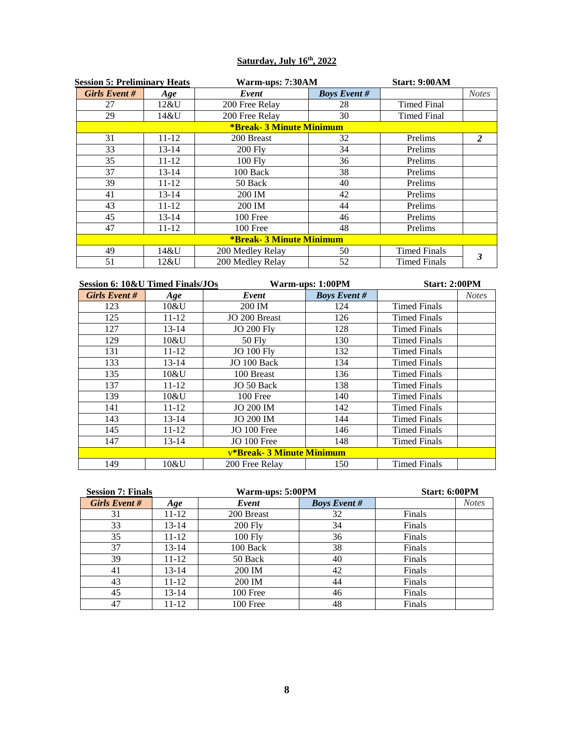## **Saturday, July 16th, 2022**

| <b>Session 5: Preliminary Heats</b> |           | Warm-ups: 7:30AM                |                     | <b>Start: 9:00AM</b> |              |
|-------------------------------------|-----------|---------------------------------|---------------------|----------------------|--------------|
| Girls Event#                        | Age       | Event                           | <b>Boys Event #</b> |                      | <b>Notes</b> |
| 27                                  | $12\&$ U  | 200 Free Relay                  | 28                  | <b>Timed Final</b>   |              |
| 29                                  | 14&U      | 200 Free Relay                  | 30                  | <b>Timed Final</b>   |              |
|                                     |           | <b>*Break- 3 Minute Minimum</b> |                     |                      |              |
| 31                                  | $11 - 12$ | 200 Breast                      | 32                  | Prelims              | 2            |
| 33                                  | 13-14     | $200$ Fly                       | 34                  | Prelims              |              |
| 35                                  | $11 - 12$ | $100$ Fly                       | 36                  | Prelims              |              |
| 37                                  | $13 - 14$ | 100 Back                        | 38                  | Prelims              |              |
| 39                                  | 11-12     | 50 Back                         | 40                  | Prelims              |              |
| 41                                  | $13 - 14$ | 200 IM                          | 42                  | Prelims              |              |
| 43                                  | 11-12     | 200 IM                          | 44                  | Prelims              |              |
| 45                                  | $13 - 14$ | 100 Free                        | 46                  | Prelims              |              |
| 47                                  | $11 - 12$ | 100 Free                        | 48                  | Prelims              |              |
|                                     |           | <b>*Break- 3 Minute Minimum</b> |                     |                      |              |
| 49                                  | 14&U      | 200 Medley Relay                | 50                  | <b>Timed Finals</b>  |              |
| 51                                  | 12&U      | 200 Medley Relay                | 52                  | <b>Timed Finals</b>  |              |

| Session 6: 10&U Timed Finals/JOs |           |                           | Warm-ups: 1:00PM    |                     | <b>Start: 2:00PM</b> |  |
|----------------------------------|-----------|---------------------------|---------------------|---------------------|----------------------|--|
| Girls Event #                    | Age       | Event                     | <b>Boys Event #</b> |                     | <b>Notes</b>         |  |
| 123                              | $10\&$ U  | 200 IM                    | 124                 | <b>Timed Finals</b> |                      |  |
| 125                              | $11 - 12$ | JO 200 Breast             | 126                 | Timed Finals        |                      |  |
| 127                              | $13 - 14$ | <b>JO 200 Fly</b>         | 128                 | <b>Timed Finals</b> |                      |  |
| 129                              | 10&U      | $50$ Fly                  | 130                 | <b>Timed Finals</b> |                      |  |
| 131                              | $11 - 12$ | <b>JO 100 Fly</b>         | 132                 | <b>Timed Finals</b> |                      |  |
| 133                              | $13 - 14$ | JO 100 Back               | 134                 | <b>Timed Finals</b> |                      |  |
| 135                              | 10&U      | 100 Breast                | 136                 | <b>Timed Finals</b> |                      |  |
| 137                              | $11 - 12$ | JO 50 Back                | 138                 | <b>Timed Finals</b> |                      |  |
| 139                              | 10&U      | 100 Free                  | 140                 | <b>Timed Finals</b> |                      |  |
| 141                              | $11 - 12$ | <b>JO 200 IM</b>          | 142                 | <b>Timed Finals</b> |                      |  |
| 143                              | $13 - 14$ | <b>JO 200 IM</b>          | 144                 | <b>Timed Finals</b> |                      |  |
| 145                              | $11 - 12$ | JO 100 Free               | 146                 | <b>Timed Finals</b> |                      |  |
| 147                              | 13-14     | $JO$ 100 Free             | 148                 | <b>Timed Finals</b> |                      |  |
|                                  |           | v*Break- 3 Minute Minimum |                     |                     |                      |  |
| 149                              | 10&U      | 200 Free Relay            | 150                 | Timed Finals        |                      |  |

| <b>Session 7: Finals</b> |           |            | Warm-ups: 5:00PM    |        |              |
|--------------------------|-----------|------------|---------------------|--------|--------------|
| Girls Event#             | Age       | Event      | <b>Boys Event #</b> |        | <b>Notes</b> |
| 31                       | 11-12     | 200 Breast | 32                  | Finals |              |
| 33                       | $13 - 14$ | $200$ Fly  | 34                  | Finals |              |
| 35                       | 11-12     | 100 Fly    | 36                  | Finals |              |
| 37                       | $13 - 14$ | 100 Back   | 38                  | Finals |              |
| 39                       | 11-12     | 50 Back    | 40                  | Finals |              |
| 41                       | $13 - 14$ | 200 IM     | 42                  | Finals |              |
| 43                       | $11 - 12$ | 200 IM     | 44                  | Finals |              |
| 45                       | $13 - 14$ | 100 Free   | 46                  | Finals |              |
| 47                       | 11-12     | 100 Free   | 48                  | Finals |              |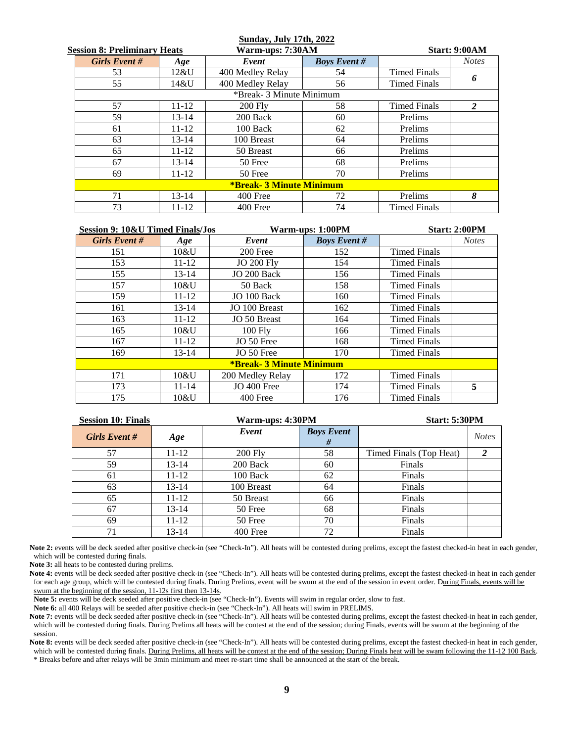#### **Sunday, July 17th, 2022**

| <b>Session 8: Preliminary Heats</b> |                                 |           | Warm-ups: 7:30AM         | <b>Start: 9:00AM</b> |                     |   |  |
|-------------------------------------|---------------------------------|-----------|--------------------------|----------------------|---------------------|---|--|
| <b>Girls Event #</b><br>Age         |                                 | Event     | <b>Boys Event #</b>      |                      | <b>Notes</b>        |   |  |
|                                     | 53                              | 12&U      | 400 Medley Relay         | 54                   | <b>Timed Finals</b> |   |  |
|                                     | 55                              | 14&U      | 400 Medley Relay         | 56                   | <b>Timed Finals</b> | 6 |  |
|                                     |                                 |           | *Break- 3 Minute Minimum |                      |                     |   |  |
|                                     | 57                              | $11 - 12$ | $200$ Fly                | 58                   | <b>Timed Finals</b> | 2 |  |
|                                     | 59                              | $13 - 14$ | 200 Back                 | 60                   | Prelims             |   |  |
|                                     | 61                              | $11 - 12$ | 100 Back                 | 62                   | Prelims             |   |  |
|                                     | 63                              | $13 - 14$ | 100 Breast               | 64                   | Prelims             |   |  |
|                                     | 65                              | $11 - 12$ | 50 Breast                | 66                   | Prelims             |   |  |
|                                     | 67                              | $13 - 14$ | 50 Free                  | 68                   | Prelims             |   |  |
|                                     | 69<br>$11 - 12$<br>50 Free      |           | 70                       | Prelims              |                     |   |  |
|                                     | <b>*Break- 3 Minute Minimum</b> |           |                          |                      |                     |   |  |
|                                     | 71                              | $13 - 14$ | 400 Free                 | 72                   | Prelims             | 8 |  |
|                                     | 73                              | $11 - 12$ | 400 Free                 | 74                   | <b>Timed Finals</b> |   |  |

| Session 9: 10&U Timed Finals/Jos |                                 |                   | Warm-ups: 1:00PM    | <b>Start: 2:00PM</b> |              |  |  |
|----------------------------------|---------------------------------|-------------------|---------------------|----------------------|--------------|--|--|
| <b>Girls Event #</b>             | Age                             | Event             | <b>Boys Event #</b> |                      | <b>Notes</b> |  |  |
| 151                              | 10&U                            | 200 Free          | 152                 | <b>Timed Finals</b>  |              |  |  |
| 153                              | 11-12                           | <b>JO 200 Fly</b> | 154                 | Timed Finals         |              |  |  |
| 155                              | $13 - 14$                       | JO 200 Back       | 156                 | <b>Timed Finals</b>  |              |  |  |
| 157                              | 10&U                            | 50 Back           | 158                 | <b>Timed Finals</b>  |              |  |  |
| 159                              | $11 - 12$                       | JO 100 Back       | 160                 | <b>Timed Finals</b>  |              |  |  |
| 161                              | $13 - 14$                       | JO 100 Breast     | 162                 | <b>Timed Finals</b>  |              |  |  |
| 163                              | $11 - 12$                       | JO 50 Breast      | 164                 | <b>Timed Finals</b>  |              |  |  |
| 165                              | 10&U                            | 100 Fly           | 166                 | <b>Timed Finals</b>  |              |  |  |
| 167                              | $11 - 12$                       | JO 50 Free        | 168                 | <b>Timed Finals</b>  |              |  |  |
| 169                              | $13 - 14$                       | JO 50 Free        | 170                 | <b>Timed Finals</b>  |              |  |  |
|                                  | <b>*Break- 3 Minute Minimum</b> |                   |                     |                      |              |  |  |
| 171                              | 10&U                            | 200 Medley Relay  | 172                 | <b>Timed Finals</b>  |              |  |  |
| 173                              | $11 - 14$                       | JO 400 Free       | 174                 | <b>Timed Finals</b>  | 5            |  |  |
| 175                              | 10&U                            | 400 Free          | 176                 | <b>Timed Finals</b>  |              |  |  |

| <b>Session 10: Finals</b> |               |           | Warm-ups: 4:30PM |                        | <b>Start: 5:30PM</b>    |              |  |
|---------------------------|---------------|-----------|------------------|------------------------|-------------------------|--------------|--|
|                           | Girls Event # | Age       | Event            | <b>Boys Event</b><br># |                         | <b>Notes</b> |  |
|                           | 57            | $11 - 12$ | <b>200 Fly</b>   | 58                     | Timed Finals (Top Heat) |              |  |
|                           | 59            | 13-14     | 200 Back         | 60                     | Finals                  |              |  |
|                           | 61            | $11 - 12$ | 100 Back         | 62                     | Finals                  |              |  |
|                           | 63            | $13 - 14$ | 100 Breast       | 64                     | Finals                  |              |  |
|                           | 65            | 11-12     | 50 Breast        | 66                     | Finals                  |              |  |
|                           | 67            | 13-14     | 50 Free          | 68                     | Finals                  |              |  |
|                           | 69            | $11 - 12$ | 50 Free          | 70                     | Finals                  |              |  |
|                           | 71            | $13 - 14$ | 400 Free         | 72                     | Finals                  |              |  |

Note 2: events will be deck seeded after positive check-in (see "Check-In"). All heats will be contested during prelims, except the fastest checked-in heat in each gender, which will be contested during finals.

**Note 3:** all heats to be contested during prelims.

Note 4: events will be deck seeded after positive check-in (see "Check-In"). All heats will be contested during prelims, except the fastest checked-in heat in each gender for each age group, which will be contested during finals. During Prelims, event will be swum at the end of the session in event order. During Finals, events will be swum at the beginning of the session, 11-12s first then 13-14s.

**Note 5:** events will be deck seeded after positive check-in (see "Check-In"). Events will swim in regular order, slow to fast.

**Note 6:** all 400 Relays will be seeded after positive check-in (see "Check-In"). All heats will swim in PRELIMS.

Note 7: events will be deck seeded after positive check-in (see "Check-In"). All heats will be contested during prelims, except the fastest checked-in heat in each gender, which will be contested during finals. During Prelims all heats will be contest at the end of the session; during Finals, events will be swum at the beginning of the session.

Note 8: events will be deck seeded after positive check-in (see "Check-In"). All heats will be contested during prelims, except the fastest checked-in heat in each gender, which will be contested during finals. During Prelims, all heats will be contest at the end of the session; During Finals heat will be swam following the 11-12 100 Back. \* Breaks before and after relays will be 3min minimum and meet re-start time shall be announced at the start of the break.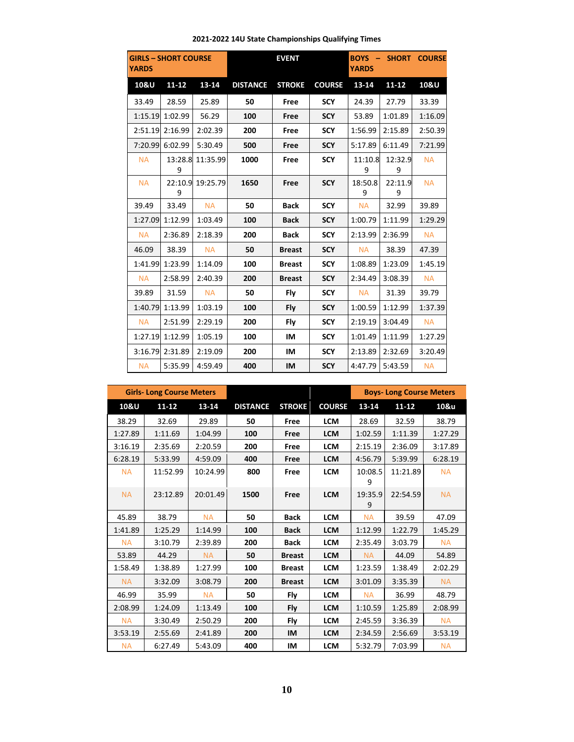| <b>YARDS</b> | <b>GIRLS - SHORT COURSE</b><br><b>EVENT</b> |                  | <b>YARDS</b>    | <b>BOYS - SHORT COURSE</b> |               |              |              |           |
|--------------|---------------------------------------------|------------------|-----------------|----------------------------|---------------|--------------|--------------|-----------|
| 10&U         | $11 - 12$                                   | 13-14            | <b>DISTANCE</b> | <b>STROKE</b>              | <b>COURSE</b> | 13-14        | $11 - 12$    | 10&U      |
| 33.49        | 28.59                                       | 25.89            | 50              | Free                       | <b>SCY</b>    | 24.39        | 27.79        | 33.39     |
| 1:15.19      | 1:02.99                                     | 56.29            | 100             | Free                       | <b>SCY</b>    | 53.89        | 1:01.89      | 1:16.09   |
| 2:51.19      | 2:16.99                                     | 2:02.39          | 200             | Free                       | <b>SCY</b>    | 1:56.99      | 2:15.89      | 2:50.39   |
| 7:20.99      | 6:02.99                                     | 5:30.49          | 500             | Free                       | <b>SCY</b>    | 5:17.89      | 6:11.49      | 7:21.99   |
| <b>NA</b>    | 13:28.8<br>9                                | 11:35.99         | 1000            | Free                       | <b>SCY</b>    | 11:10.8<br>9 | 12:32.9<br>9 | <b>NA</b> |
| <b>NA</b>    | 9                                           | 22:10.9 19:25.79 | 1650            | Free                       | <b>SCY</b>    | 18:50.8<br>9 | 22:11.9<br>9 | <b>NA</b> |
| 39.49        | 33.49                                       | <b>NA</b>        | 50              | <b>Back</b>                | <b>SCY</b>    | <b>NA</b>    | 32.99        | 39.89     |
| 1:27.09      | 1:12.99                                     | 1:03.49          | 100             | <b>Back</b>                | <b>SCY</b>    | 1:00.79      | 1:11.99      | 1:29.29   |
| <b>NA</b>    | 2:36.89                                     | 2:18.39          | 200             | <b>Back</b>                | <b>SCY</b>    | 2:13.99      | 2:36.99      | <b>NA</b> |
| 46.09        | 38.39                                       | <b>NA</b>        | 50              | <b>Breast</b>              | <b>SCY</b>    | <b>NA</b>    | 38.39        | 47.39     |
| 1:41.99      | 1:23.99                                     | 1:14.09          | 100             | <b>Breast</b>              | <b>SCY</b>    | 1:08.89      | 1:23.09      | 1:45.19   |
| <b>NA</b>    | 2:58.99                                     | 2:40.39          | 200             | <b>Breast</b>              | <b>SCY</b>    | 2:34.49      | 3:08.39      | <b>NA</b> |
| 39.89        | 31.59                                       | <b>NA</b>        | 50              | Fly                        | <b>SCY</b>    | <b>NA</b>    | 31.39        | 39.79     |
| 1:40.79      | 1:13.99                                     | 1:03.19          | 100             | Fly                        | <b>SCY</b>    | 1:00.59      | 1:12.99      | 1:37.39   |
| <b>NA</b>    | 2:51.99                                     | 2:29.19          | 200             | Fly                        | <b>SCY</b>    | 2:19.19      | 3:04.49      | <b>NA</b> |
| 1:27.19      | 1:12.99                                     | 1:05.19          | 100             | IM                         | <b>SCY</b>    | 1:01.49      | 1:11.99      | 1:27.29   |
| 3:16.79      | 2:31.89                                     | 2:19.09          | 200             | IM                         | <b>SCY</b>    | 2:13.89      | 2:32.69      | 3:20.49   |
| <b>NA</b>    | 5:35.99                                     | 4:59.49          | 400             | IM                         | <b>SCY</b>    | 4:47.79      | 5:43.59      | <b>NA</b> |

|           | <b>Girls-Long Course Meters</b> |           |                 |               |               | <b>Boys-Long Course Meters</b> |           |           |
|-----------|---------------------------------|-----------|-----------------|---------------|---------------|--------------------------------|-----------|-----------|
| 10&U      | $11 - 12$                       | $13 - 14$ | <b>DISTANCE</b> | <b>STROKE</b> | <b>COURSE</b> | $13 - 14$                      | $11 - 12$ | 10&u      |
| 38.29     | 32.69                           | 29.89     | 50              | Free          | <b>LCM</b>    | 28.69                          | 32.59     | 38.79     |
| 1:27.89   | 1:11.69                         | 1:04.99   | 100             | Free          | <b>LCM</b>    | 1:02.59                        | 1:11.39   | 1:27.29   |
| 3:16.19   | 2:35.69                         | 2:20.59   | 200             | Free          | <b>LCM</b>    | 2:15.19                        | 2:36.09   | 3:17.89   |
| 6:28.19   | 5:33.99                         | 4:59.09   | 400             | Free          | <b>LCM</b>    | 4:56.79                        | 5:39.99   | 6:28.19   |
| <b>NA</b> | 11:52.99                        | 10:24.99  | 800             | Free          | <b>LCM</b>    | 10:08.5<br>9                   | 11:21.89  | <b>NA</b> |
| <b>NA</b> | 23:12.89                        | 20:01.49  | 1500            | Free          | <b>LCM</b>    | 19:35.9<br>9                   | 22:54.59  | <b>NA</b> |
| 45.89     | 38.79                           | <b>NA</b> | 50              | <b>Back</b>   | <b>LCM</b>    | <b>NA</b>                      | 39.59     | 47.09     |
| 1:41.89   | 1:25.29                         | 1:14.99   | 100             | <b>Back</b>   | <b>LCM</b>    | 1:12.99                        | 1:22.79   | 1:45.29   |
| <b>NA</b> | 3:10.79                         | 2:39.89   | 200             | <b>Back</b>   | <b>LCM</b>    | 2:35.49                        | 3:03.79   | <b>NA</b> |
| 53.89     | 44.29                           | <b>NA</b> | 50              | <b>Breast</b> | <b>LCM</b>    | <b>NA</b>                      | 44.09     | 54.89     |
| 1:58.49   | 1:38.89                         | 1:27.99   | 100             | <b>Breast</b> | <b>LCM</b>    | 1:23.59                        | 1:38.49   | 2:02.29   |
| <b>NA</b> | 3:32.09                         | 3:08.79   | 200             | <b>Breast</b> | <b>LCM</b>    | 3:01.09                        | 3:35.39   | <b>NA</b> |
| 46.99     | 35.99                           | <b>NA</b> | 50              | Fly           | <b>LCM</b>    | <b>NA</b>                      | 36.99     | 48.79     |
| 2:08.99   | 1:24.09                         | 1:13.49   | 100             | Fly           | <b>LCM</b>    | 1:10.59                        | 1:25.89   | 2:08.99   |
| <b>NA</b> | 3:30.49                         | 2:50.29   | 200             | Fly           | <b>LCM</b>    | 2:45.59                        | 3:36.39   | <b>NA</b> |
| 3:53.19   | 2:55.69                         | 2:41.89   | 200             | IM            | <b>LCM</b>    | 2:34.59                        | 2:56.69   | 3:53.19   |
| <b>NA</b> | 6:27.49                         | 5:43.09   | 400             | IM            | <b>LCM</b>    | 5:32.79                        | 7:03.99   | <b>NA</b> |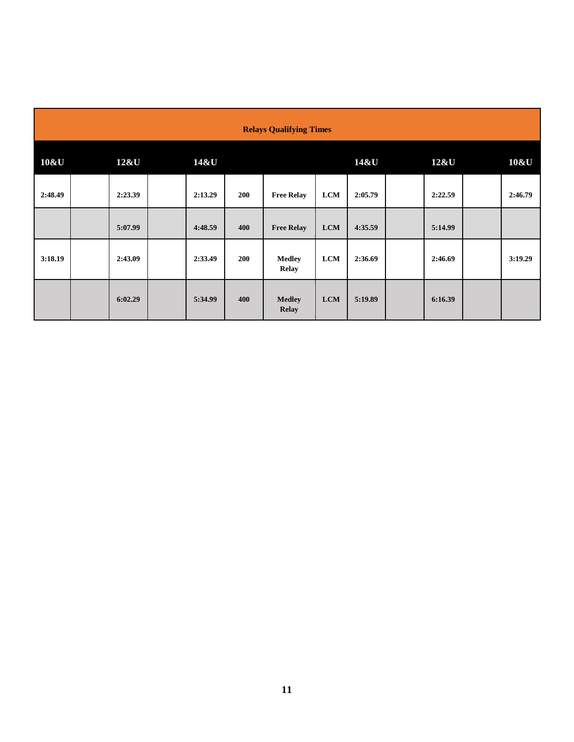| <b>Relays Qualifying Times</b> |  |         |  |         |     |                               |            |         |         |         |
|--------------------------------|--|---------|--|---------|-----|-------------------------------|------------|---------|---------|---------|
| 10&U                           |  | 12&U    |  | 14&U    |     |                               |            | 14&U    | 12&U    | 10&U    |
| 2:48.49                        |  | 2:23.39 |  | 2:13.29 | 200 | <b>Free Relay</b>             | <b>LCM</b> | 2:05.79 | 2:22.59 | 2:46.79 |
|                                |  | 5:07.99 |  | 4:48.59 | 400 | <b>Free Relay</b>             | <b>LCM</b> | 4:35.59 | 5:14.99 |         |
| 3:18.19                        |  | 2:43.09 |  | 2:33.49 | 200 | <b>Medley</b><br><b>Relay</b> | <b>LCM</b> | 2:36.69 | 2:46.69 | 3:19.29 |
|                                |  | 6:02.29 |  | 5:34.99 | 400 | <b>Medley</b><br><b>Relay</b> | <b>LCM</b> | 5:19.89 | 6:16.39 |         |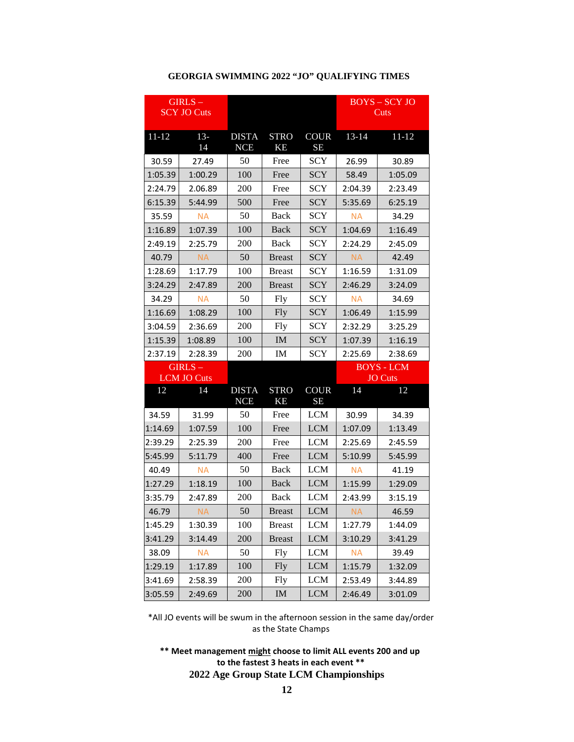|           | $GIRLS -$<br><b>SCY JO Cuts</b> |                            |                          |                          |           | <b>BOYS-SCYJO</b><br>Cuts |
|-----------|---------------------------------|----------------------------|--------------------------|--------------------------|-----------|---------------------------|
| $11 - 12$ | $13-$<br>14                     | <b>DISTA</b><br><b>NCE</b> | <b>STRO</b><br>KE        | <b>COUR</b><br><b>SE</b> | $13 - 14$ | $11 - 12$                 |
| 30.59     | 27.49                           | 50                         | Free                     | SCY                      | 26.99     | 30.89                     |
| 1:05.39   | 1:00.29                         | 100                        | Free                     | <b>SCY</b>               | 58.49     | 1:05.09                   |
| 2:24.79   | 2.06.89                         | 200                        | Free                     | <b>SCY</b>               | 2:04.39   | 2:23.49                   |
| 6:15.39   | 5:44.99                         | 500                        | Free                     | <b>SCY</b>               | 5:35.69   | 6:25.19                   |
| 35.59     | <b>NA</b>                       | 50                         | <b>Back</b>              | <b>SCY</b>               | <b>NA</b> | 34.29                     |
| 1:16.89   | 1:07.39                         | 100                        | Back                     | <b>SCY</b>               | 1:04.69   | 1:16.49                   |
| 2:49.19   | 2:25.79                         | 200                        | <b>Back</b>              | <b>SCY</b>               | 2:24.29   | 2:45.09                   |
| 40.79     | <b>NA</b>                       | 50                         | <b>Breast</b>            | <b>SCY</b>               | <b>NA</b> | 42.49                     |
| 1:28.69   | 1:17.79                         | 100                        | <b>Breast</b>            | SCY                      | 1:16.59   | 1:31.09                   |
| 3:24.29   | 2:47.89                         | 200                        | <b>Breast</b>            | <b>SCY</b>               | 2:46.29   | 3:24.09                   |
| 34.29     | <b>NA</b>                       | 50                         | Fly                      | <b>SCY</b>               | <b>NA</b> | 34.69                     |
| 1:16.69   | 1:08.29                         | 100                        | <b>Fly</b>               | <b>SCY</b>               | 1:06.49   | 1:15.99                   |
| 3:04.59   | 2:36.69                         | 200                        | <b>Fly</b>               | SCY                      | 2:32.29   | 3:25.29                   |
| 1:15.39   | 1:08.89                         | 100                        | IM                       | <b>SCY</b>               | 1:07.39   | 1:16.19                   |
| 2:37.19   | 2:28.39                         | 200                        | IM                       | <b>SCY</b>               | 2:25.69   | 2:38.69                   |
|           | $GIRLS -$                       |                            |                          |                          |           | <b>BOYS - LCM</b>         |
|           | <b>LCM JO Cuts</b>              |                            |                          |                          |           | <b>JO</b> Cuts            |
| 12        | 14                              | <b>DISTA</b><br><b>NCE</b> | <b>STRO</b><br><b>KE</b> | <b>COUR</b><br><b>SE</b> | 14        | 12                        |
| 34.59     | 31.99                           | 50                         | Free                     | <b>LCM</b>               | 30.99     | 34.39                     |
| 1:14.69   | 1:07.59                         | 100                        | Free                     | <b>LCM</b>               | 1:07.09   | 1:13.49                   |
| 2:39.29   | 2:25.39                         | 200                        | Free                     | <b>LCM</b>               | 2:25.69   | 2:45.59                   |
| 5:45.99   | 5:11.79                         | 400                        | Free                     | <b>LCM</b>               | 5:10.99   | 5:45.99                   |
| 40.49     | <b>NA</b>                       | 50                         | Back                     | <b>LCM</b>               | <b>NA</b> | 41.19                     |
| 1:27.29   | 1:18.19                         | 100                        | Back                     | <b>LCM</b>               | 1:15.99   | 1:29.09                   |
| 3:35.79   | 2:47.89                         | 200                        | <b>Back</b>              | <b>LCM</b>               | 2:43.99   | 3:15.19                   |
| 46.79     | <b>NA</b>                       | 50                         | <b>Breast</b>            | <b>LCM</b>               | <b>NA</b> | 46.59                     |
| 1:45.29   | 1:30.39                         | 100                        | <b>Breast</b>            | <b>LCM</b>               | 1:27.79   | 1:44.09                   |
| 3:41.29   | 3:14.49                         | 200                        | <b>Breast</b>            | <b>LCM</b>               | 3:10.29   | 3:41.29                   |
| 38.09     | <b>NA</b>                       | 50                         | <b>Fly</b>               | <b>LCM</b>               | <b>NA</b> | 39.49                     |
| 1:29.19   | 1:17.89                         | 100                        | <b>Fly</b>               | <b>LCM</b>               | 1:15.79   | 1:32.09                   |
| 3:41.69   | 2:58.39                         | 200                        | <b>Fly</b>               | <b>LCM</b>               | 2:53.49   | 3:44.89                   |
| 3:05.59   | 2:49.69                         | 200                        | $\mathbf{IM}$            | <b>LCM</b>               | 2:46.49   | 3:01.09                   |

#### **GEORGIA SWIMMING 2022 "JO" QUALIFYING TIMES**

\*All JO events will be swum in the afternoon session in the same day/order as the State Champs

**\*\* Meet management might choose to limit ALL events 200 and up to the fastest 3 heats in each event \*\* 2022 Age Group State LCM Championships**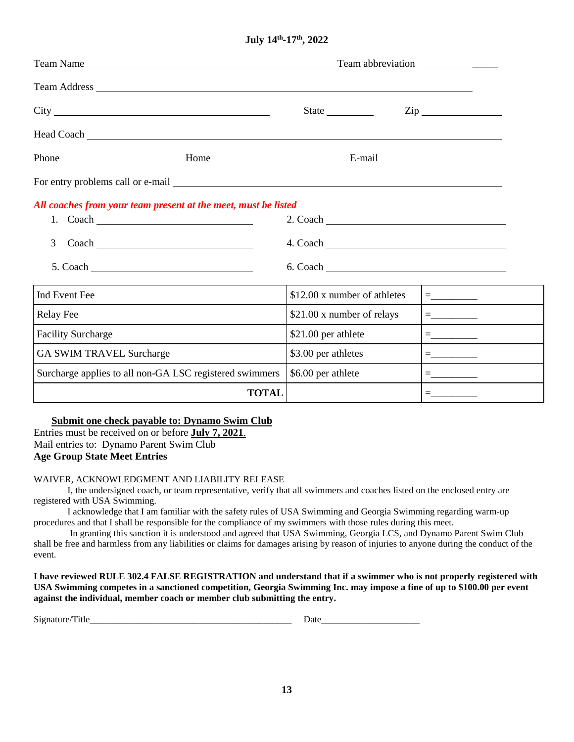**July 14th-17th, 2022** 

| Team Name                                                                                                                                                                                                                      | Team abbreviation            |                                   |  |  |  |  |
|--------------------------------------------------------------------------------------------------------------------------------------------------------------------------------------------------------------------------------|------------------------------|-----------------------------------|--|--|--|--|
|                                                                                                                                                                                                                                |                              |                                   |  |  |  |  |
|                                                                                                                                                                                                                                |                              | $\mathop{\rm Zip}\nolimits$       |  |  |  |  |
| Head Coach Lease and Coach Lease and Coach Lease and Coach Lease and Coach Lease and Coach Lease and Coach Lease and Coach Lease and Coach Lease and Coach Lease and Coach Lease and Coach Lease and Coach Lease and Coach Lea |                              |                                   |  |  |  |  |
|                                                                                                                                                                                                                                |                              |                                   |  |  |  |  |
| For entry problems call or e-mail services and the services of the services of the services of the services of the services of the services of the services of the services of the services of the services of the services of |                              |                                   |  |  |  |  |
| All coaches from your team present at the meet, must be listed                                                                                                                                                                 |                              |                                   |  |  |  |  |
| 3                                                                                                                                                                                                                              |                              |                                   |  |  |  |  |
|                                                                                                                                                                                                                                | $6. \text{ Coach}$           |                                   |  |  |  |  |
| Ind Event Fee                                                                                                                                                                                                                  | \$12.00 x number of athletes |                                   |  |  |  |  |
| <b>Relay Fee</b>                                                                                                                                                                                                               | \$21.00 x number of relays   | $=\underbrace{\phantom{aaaaaaa}}$ |  |  |  |  |
| <b>Facility Surcharge</b>                                                                                                                                                                                                      | \$21.00 per athlete          |                                   |  |  |  |  |
| <b>GA SWIM TRAVEL Surcharge</b>                                                                                                                                                                                                | \$3.00 per athletes          |                                   |  |  |  |  |
| Surcharge applies to all non-GA LSC registered swimmers                                                                                                                                                                        | \$6.00 per athlete           |                                   |  |  |  |  |
| <b>TOTAL</b>                                                                                                                                                                                                                   |                              |                                   |  |  |  |  |

**Submit one check payable to: Dynamo Swim Club** Entries must be received on or before **July 7, 2021**.

Mail entries to: Dynamo Parent Swim Club **Age Group State Meet Entries** 

### WAIVER, ACKNOWLEDGMENT AND LIABILITY RELEASE

I, the undersigned coach, or team representative, verify that all swimmers and coaches listed on the enclosed entry are registered with USA Swimming.

I acknowledge that I am familiar with the safety rules of USA Swimming and Georgia Swimming regarding warm-up procedures and that I shall be responsible for the compliance of my swimmers with those rules during this meet.

 In granting this sanction it is understood and agreed that USA Swimming, Georgia LCS, and Dynamo Parent Swim Club shall be free and harmless from any liabilities or claims for damages arising by reason of injuries to anyone during the conduct of the event.

**I have reviewed RULE 302.4 FALSE REGISTRATION and understand that if a swimmer who is not properly registered with USA Swimming competes in a sanctioned competition, Georgia Swimming Inc. may impose a fine of up to \$100.00 per event against the individual, member coach or member club submitting the entry.**

Signature/Title **Date**